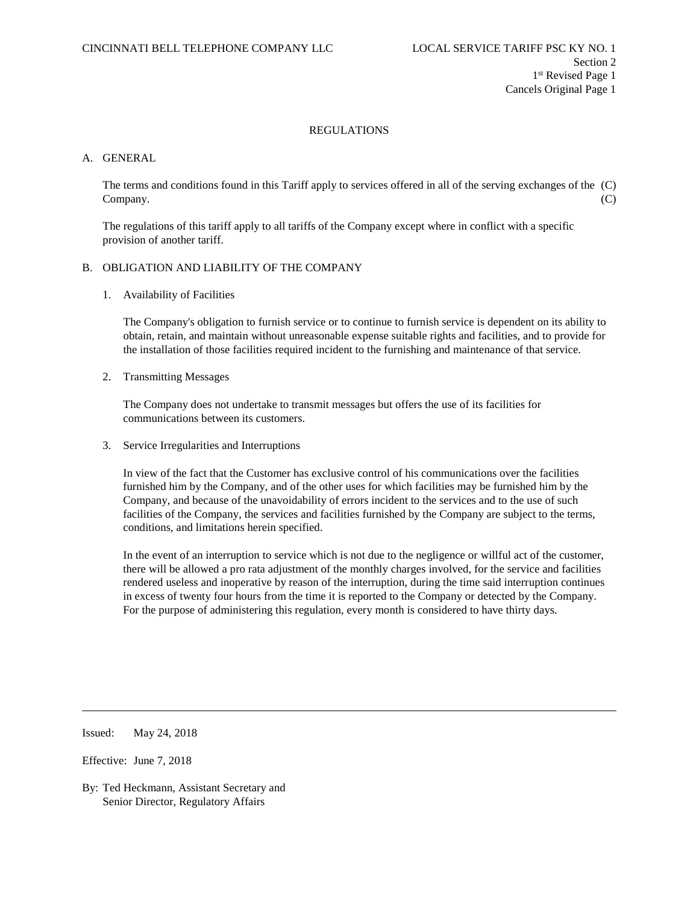### A. GENERAL

The terms and conditions found in this Tariff apply to services offered in all of the serving exchanges of the (C) Company. (C)

The regulations of this tariff apply to all tariffs of the Company except where in conflict with a specific provision of another tariff.

### B. OBLIGATION AND LIABILITY OF THE COMPANY

1. Availability of Facilities

The Company's obligation to furnish service or to continue to furnish service is dependent on its ability to obtain, retain, and maintain without unreasonable expense suitable rights and facilities, and to provide for the installation of those facilities required incident to the furnishing and maintenance of that service.

2. Transmitting Messages

The Company does not undertake to transmit messages but offers the use of its facilities for communications between its customers.

3. Service Irregularities and Interruptions

In view of the fact that the Customer has exclusive control of his communications over the facilities furnished him by the Company, and of the other uses for which facilities may be furnished him by the Company, and because of the unavoidability of errors incident to the services and to the use of such facilities of the Company, the services and facilities furnished by the Company are subject to the terms, conditions, and limitations herein specified.

In the event of an interruption to service which is not due to the negligence or willful act of the customer, there will be allowed a pro rata adjustment of the monthly charges involved, for the service and facilities rendered useless and inoperative by reason of the interruption, during the time said interruption continues in excess of twenty four hours from the time it is reported to the Company or detected by the Company. For the purpose of administering this regulation, every month is considered to have thirty days.

Issued: May 24, 2018

Effective: June 7, 2018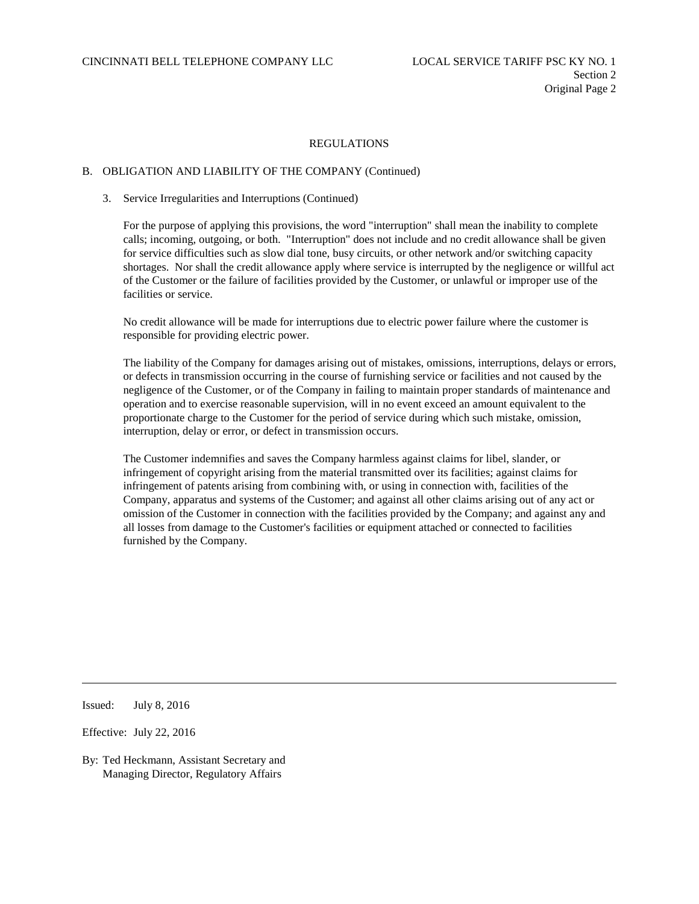### B. OBLIGATION AND LIABILITY OF THE COMPANY (Continued)

#### 3. Service Irregularities and Interruptions (Continued)

For the purpose of applying this provisions, the word "interruption" shall mean the inability to complete calls; incoming, outgoing, or both. "Interruption" does not include and no credit allowance shall be given for service difficulties such as slow dial tone, busy circuits, or other network and/or switching capacity shortages. Nor shall the credit allowance apply where service is interrupted by the negligence or willful act of the Customer or the failure of facilities provided by the Customer, or unlawful or improper use of the facilities or service.

No credit allowance will be made for interruptions due to electric power failure where the customer is responsible for providing electric power.

The liability of the Company for damages arising out of mistakes, omissions, interruptions, delays or errors, or defects in transmission occurring in the course of furnishing service or facilities and not caused by the negligence of the Customer, or of the Company in failing to maintain proper standards of maintenance and operation and to exercise reasonable supervision, will in no event exceed an amount equivalent to the proportionate charge to the Customer for the period of service during which such mistake, omission, interruption, delay or error, or defect in transmission occurs.

The Customer indemnifies and saves the Company harmless against claims for libel, slander, or infringement of copyright arising from the material transmitted over its facilities; against claims for infringement of patents arising from combining with, or using in connection with, facilities of the Company, apparatus and systems of the Customer; and against all other claims arising out of any act or omission of the Customer in connection with the facilities provided by the Company; and against any and all losses from damage to the Customer's facilities or equipment attached or connected to facilities furnished by the Company.

Issued: July 8, 2016

Effective: July 22, 2016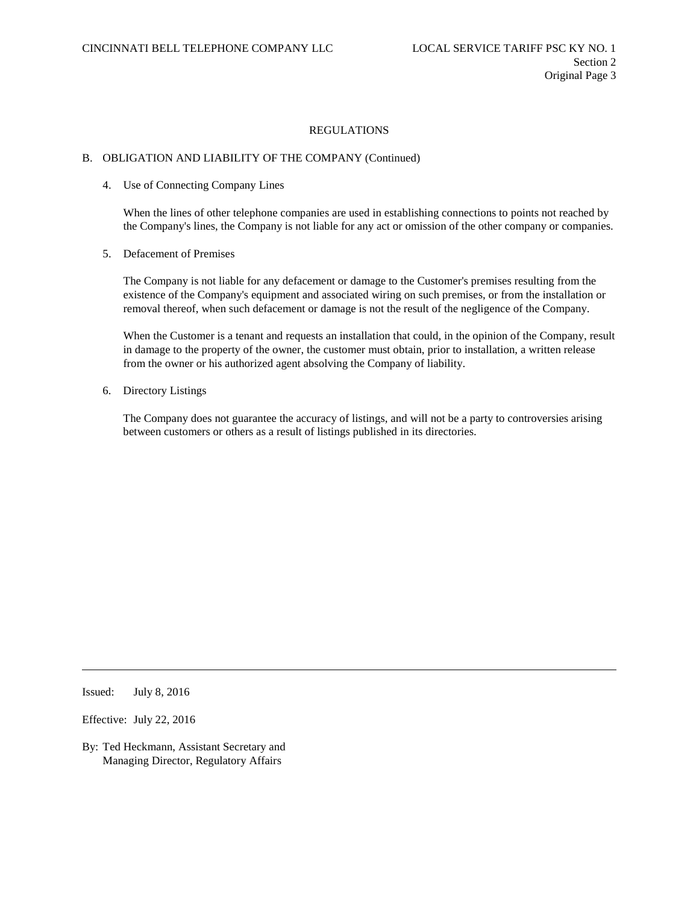#### B. OBLIGATION AND LIABILITY OF THE COMPANY (Continued)

4. Use of Connecting Company Lines

When the lines of other telephone companies are used in establishing connections to points not reached by the Company's lines, the Company is not liable for any act or omission of the other company or companies.

5. Defacement of Premises

The Company is not liable for any defacement or damage to the Customer's premises resulting from the existence of the Company's equipment and associated wiring on such premises, or from the installation or removal thereof, when such defacement or damage is not the result of the negligence of the Company.

When the Customer is a tenant and requests an installation that could, in the opinion of the Company, result in damage to the property of the owner, the customer must obtain, prior to installation, a written release from the owner or his authorized agent absolving the Company of liability.

6. Directory Listings

The Company does not guarantee the accuracy of listings, and will not be a party to controversies arising between customers or others as a result of listings published in its directories.

Issued: July 8, 2016

Effective: July 22, 2016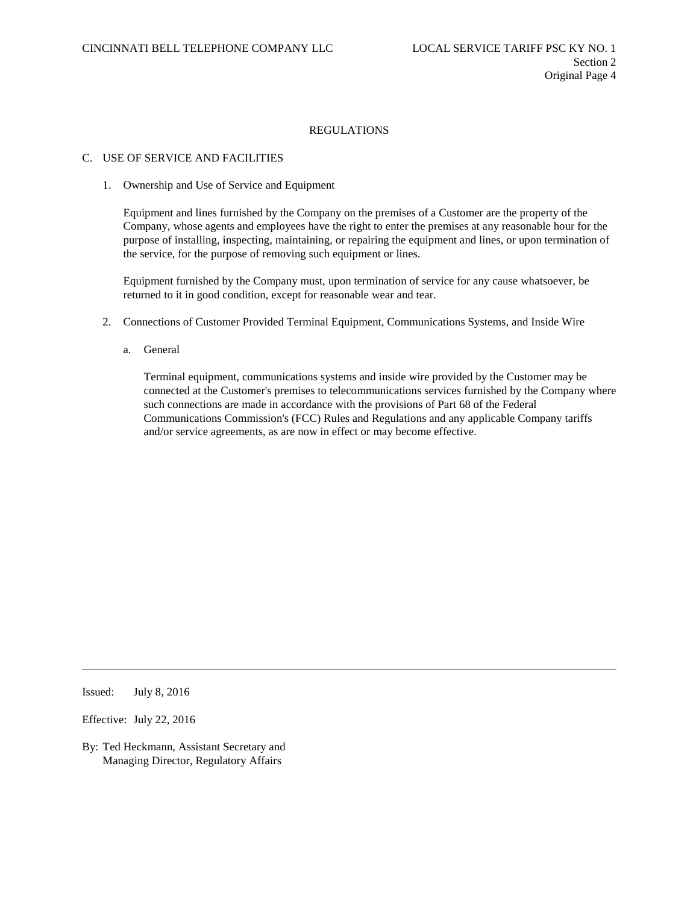# C. USE OF SERVICE AND FACILITIES

1. Ownership and Use of Service and Equipment

Equipment and lines furnished by the Company on the premises of a Customer are the property of the Company, whose agents and employees have the right to enter the premises at any reasonable hour for the purpose of installing, inspecting, maintaining, or repairing the equipment and lines, or upon termination of the service, for the purpose of removing such equipment or lines.

Equipment furnished by the Company must, upon termination of service for any cause whatsoever, be returned to it in good condition, except for reasonable wear and tear.

- 2. Connections of Customer Provided Terminal Equipment, Communications Systems, and Inside Wire
	- a. General

Terminal equipment, communications systems and inside wire provided by the Customer may be connected at the Customer's premises to telecommunications services furnished by the Company where such connections are made in accordance with the provisions of Part 68 of the Federal Communications Commission's (FCC) Rules and Regulations and any applicable Company tariffs and/or service agreements, as are now in effect or may become effective.

Issued: July 8, 2016

Effective: July 22, 2016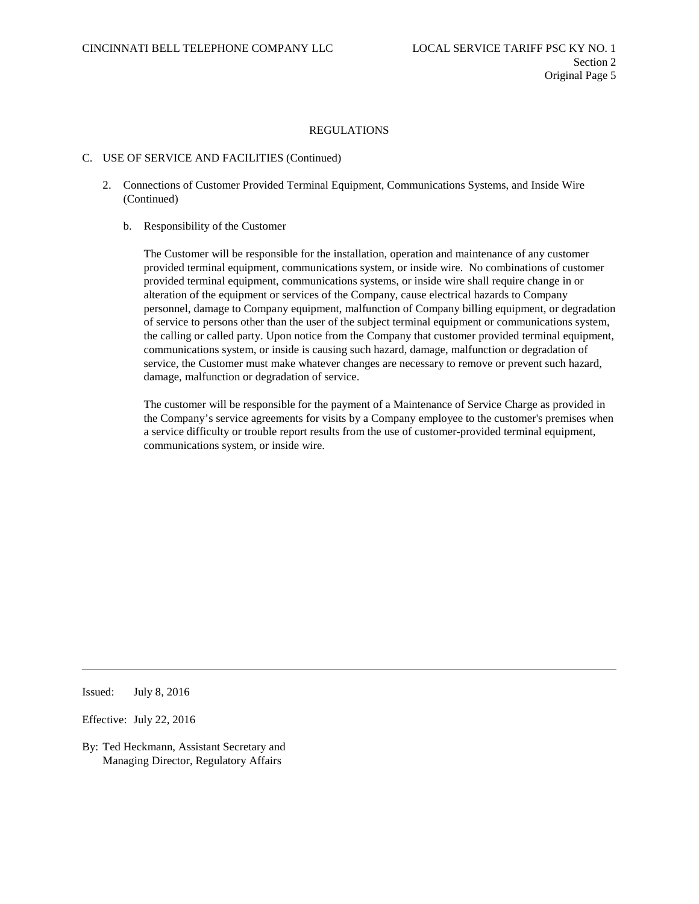### C. USE OF SERVICE AND FACILITIES (Continued)

- 2. Connections of Customer Provided Terminal Equipment, Communications Systems, and Inside Wire (Continued)
	- b. Responsibility of the Customer

The Customer will be responsible for the installation, operation and maintenance of any customer provided terminal equipment, communications system, or inside wire. No combinations of customer provided terminal equipment, communications systems, or inside wire shall require change in or alteration of the equipment or services of the Company, cause electrical hazards to Company personnel, damage to Company equipment, malfunction of Company billing equipment, or degradation of service to persons other than the user of the subject terminal equipment or communications system, the calling or called party. Upon notice from the Company that customer provided terminal equipment, communications system, or inside is causing such hazard, damage, malfunction or degradation of service, the Customer must make whatever changes are necessary to remove or prevent such hazard, damage, malfunction or degradation of service.

The customer will be responsible for the payment of a Maintenance of Service Charge as provided in the Company's service agreements for visits by a Company employee to the customer's premises when a service difficulty or trouble report results from the use of customer-provided terminal equipment, communications system, or inside wire.

Issued: July 8, 2016

Effective: July 22, 2016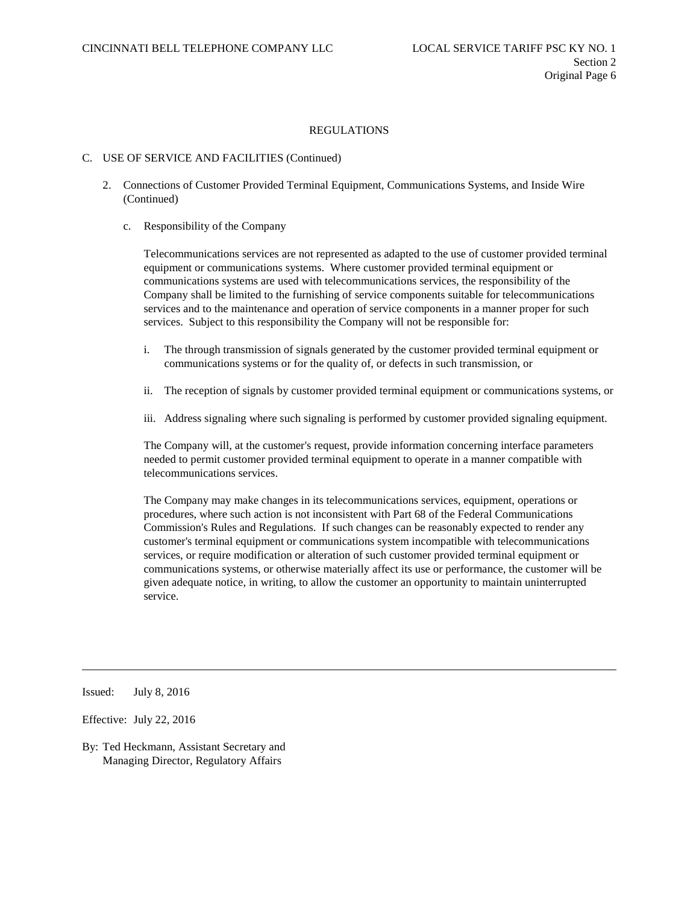### C. USE OF SERVICE AND FACILITIES (Continued)

- 2. Connections of Customer Provided Terminal Equipment, Communications Systems, and Inside Wire (Continued)
	- c. Responsibility of the Company

Telecommunications services are not represented as adapted to the use of customer provided terminal equipment or communications systems. Where customer provided terminal equipment or communications systems are used with telecommunications services, the responsibility of the Company shall be limited to the furnishing of service components suitable for telecommunications services and to the maintenance and operation of service components in a manner proper for such services. Subject to this responsibility the Company will not be responsible for:

- i. The through transmission of signals generated by the customer provided terminal equipment or communications systems or for the quality of, or defects in such transmission, or
- ii. The reception of signals by customer provided terminal equipment or communications systems, or
- iii. Address signaling where such signaling is performed by customer provided signaling equipment.

The Company will, at the customer's request, provide information concerning interface parameters needed to permit customer provided terminal equipment to operate in a manner compatible with telecommunications services.

The Company may make changes in its telecommunications services, equipment, operations or procedures, where such action is not inconsistent with Part 68 of the Federal Communications Commission's Rules and Regulations. If such changes can be reasonably expected to render any customer's terminal equipment or communications system incompatible with telecommunications services, or require modification or alteration of such customer provided terminal equipment or communications systems, or otherwise materially affect its use or performance, the customer will be given adequate notice, in writing, to allow the customer an opportunity to maintain uninterrupted service.

Issued: July 8, 2016

Effective: July 22, 2016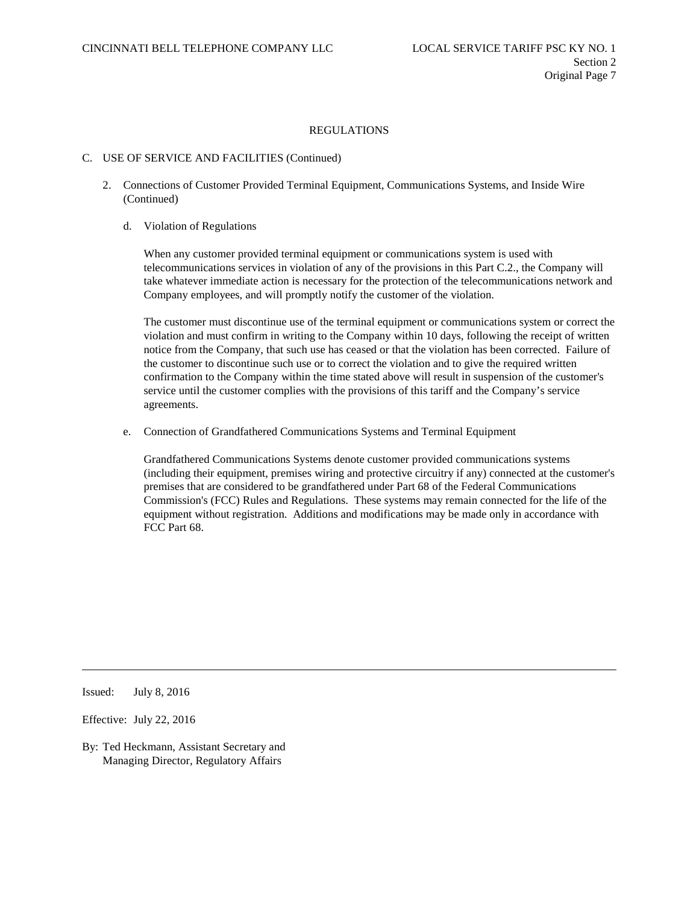### C. USE OF SERVICE AND FACILITIES (Continued)

- 2. Connections of Customer Provided Terminal Equipment, Communications Systems, and Inside Wire (Continued)
	- d. Violation of Regulations

When any customer provided terminal equipment or communications system is used with telecommunications services in violation of any of the provisions in this Part C.2., the Company will take whatever immediate action is necessary for the protection of the telecommunications network and Company employees, and will promptly notify the customer of the violation.

The customer must discontinue use of the terminal equipment or communications system or correct the violation and must confirm in writing to the Company within 10 days, following the receipt of written notice from the Company, that such use has ceased or that the violation has been corrected. Failure of the customer to discontinue such use or to correct the violation and to give the required written confirmation to the Company within the time stated above will result in suspension of the customer's service until the customer complies with the provisions of this tariff and the Company's service agreements.

e. Connection of Grandfathered Communications Systems and Terminal Equipment

Grandfathered Communications Systems denote customer provided communications systems (including their equipment, premises wiring and protective circuitry if any) connected at the customer's premises that are considered to be grandfathered under Part 68 of the Federal Communications Commission's (FCC) Rules and Regulations. These systems may remain connected for the life of the equipment without registration. Additions and modifications may be made only in accordance with FCC Part 68.

Issued: July 8, 2016

Effective: July 22, 2016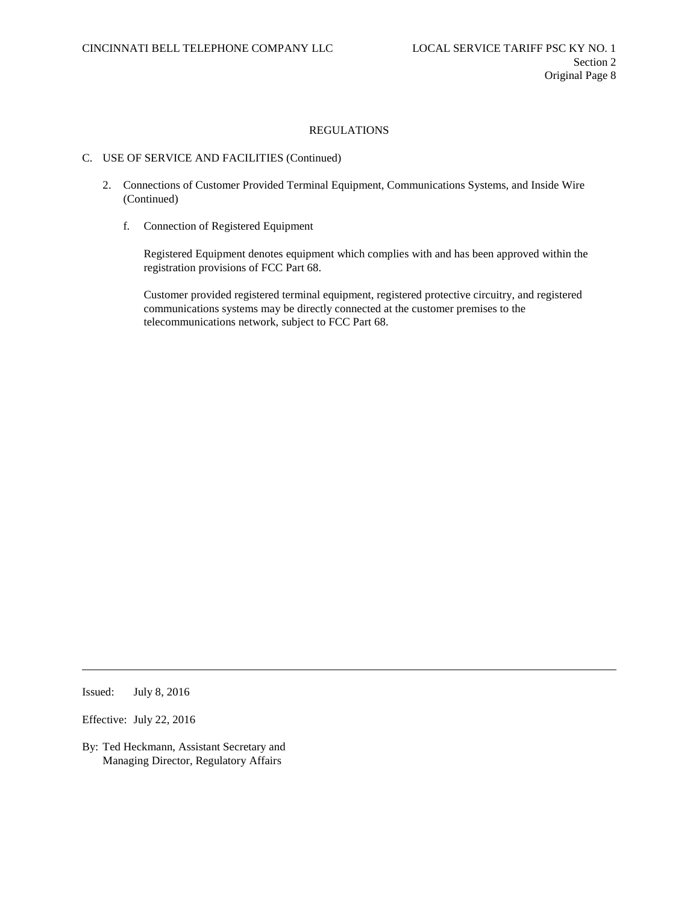# C. USE OF SERVICE AND FACILITIES (Continued)

- 2. Connections of Customer Provided Terminal Equipment, Communications Systems, and Inside Wire (Continued)
	- f. Connection of Registered Equipment

Registered Equipment denotes equipment which complies with and has been approved within the registration provisions of FCC Part 68.

Customer provided registered terminal equipment, registered protective circuitry, and registered communications systems may be directly connected at the customer premises to the telecommunications network, subject to FCC Part 68.

Issued: July 8, 2016

Effective: July 22, 2016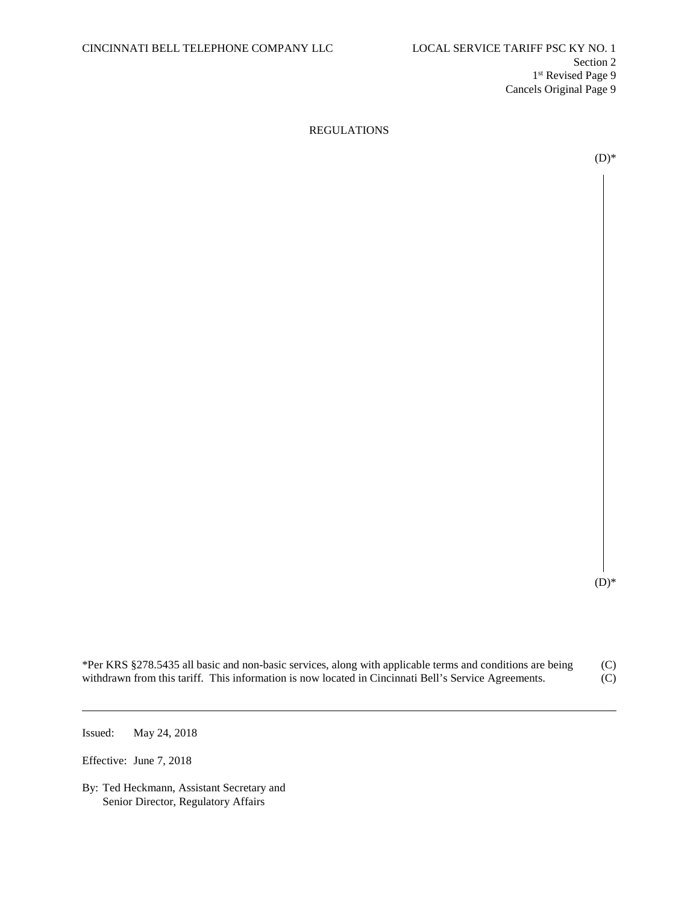$(D)*$ 

 $(D)*$ 

| *Per KRS §278.5435 all basic and non-basic services, along with applicable terms and conditions are being | (C) |
|-----------------------------------------------------------------------------------------------------------|-----|
| withdrawn from this tariff. This information is now located in Cincinnati Bell's Service Agreements.      | (C) |

Issued: May 24, 2018

Effective: June 7, 2018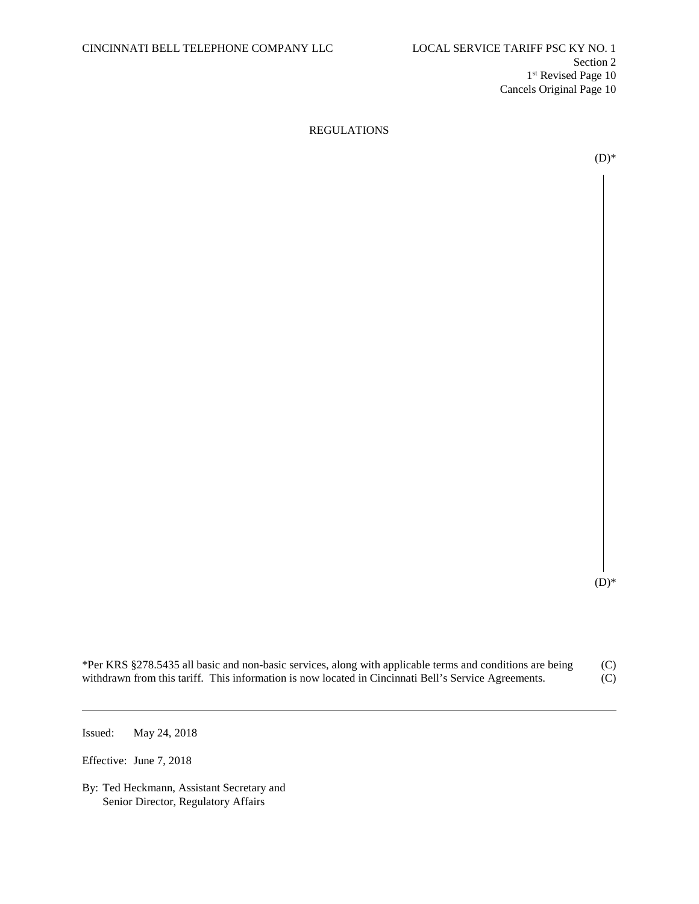$(D)*$ 

 $(D)*$ 

| *Per KRS §278.5435 all basic and non-basic services, along with applicable terms and conditions are being | (C) |
|-----------------------------------------------------------------------------------------------------------|-----|
| withdrawn from this tariff. This information is now located in Cincinnati Bell's Service Agreements.      | (C) |

Issued: May 24, 2018

Effective: June 7, 2018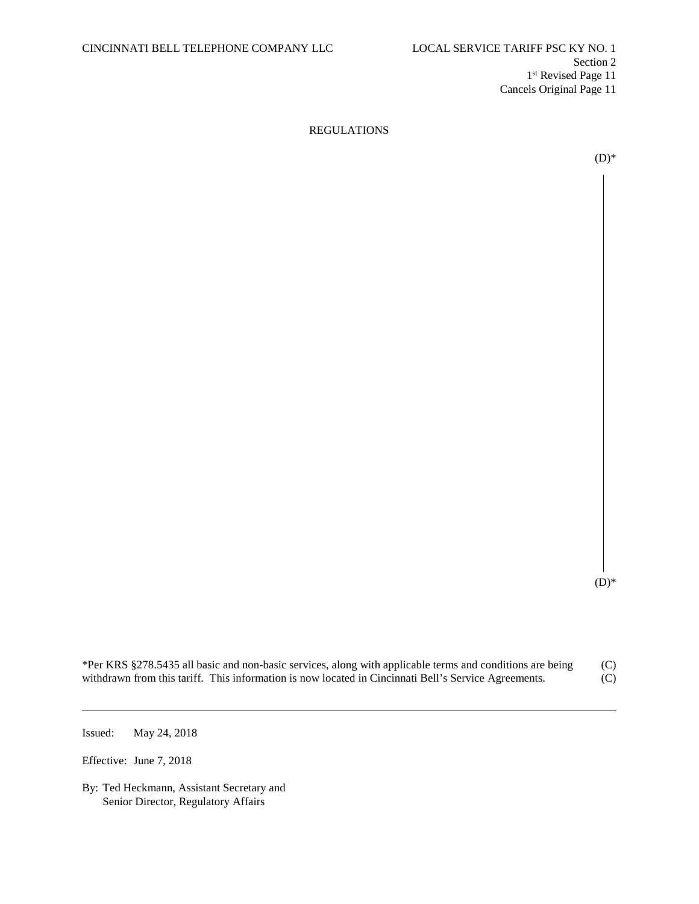$(D)*$ 

 $(D)*$ 

| *Per KRS §278.5435 all basic and non-basic services, along with applicable terms and conditions are being | (C) |
|-----------------------------------------------------------------------------------------------------------|-----|
| withdrawn from this tariff. This information is now located in Cincinnati Bell's Service Agreements.      | (C) |

Issued: May 24, 2018

Effective: June 7, 2018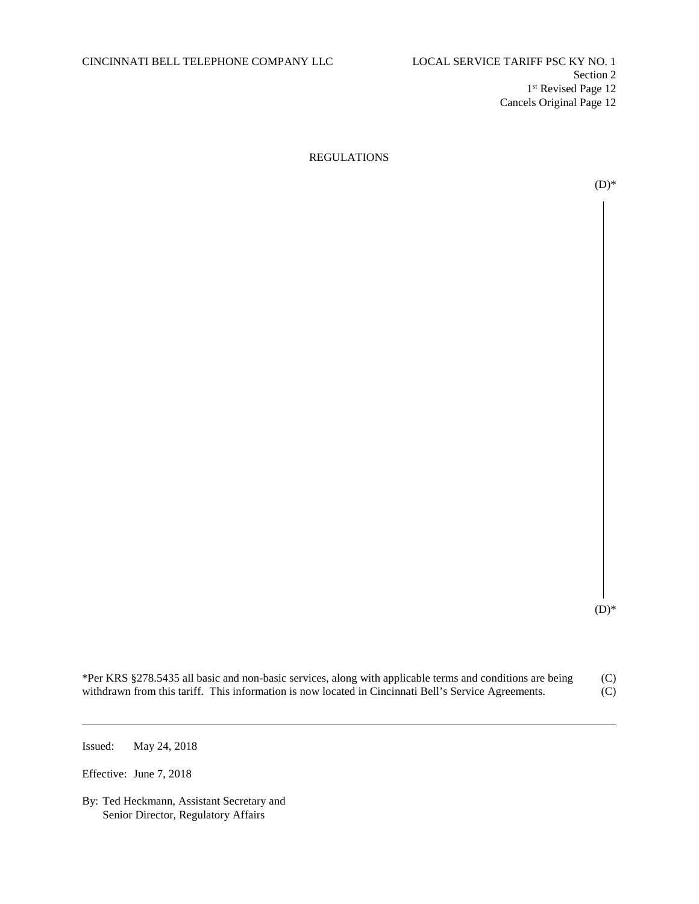$(D)*$ 

 $(D)*$ 

| *Per KRS §278.5435 all basic and non-basic services, along with applicable terms and conditions are being | (C) |
|-----------------------------------------------------------------------------------------------------------|-----|
| withdrawn from this tariff. This information is now located in Cincinnati Bell's Service Agreements.      | (C) |

Issued: May 24, 2018

Effective: June 7, 2018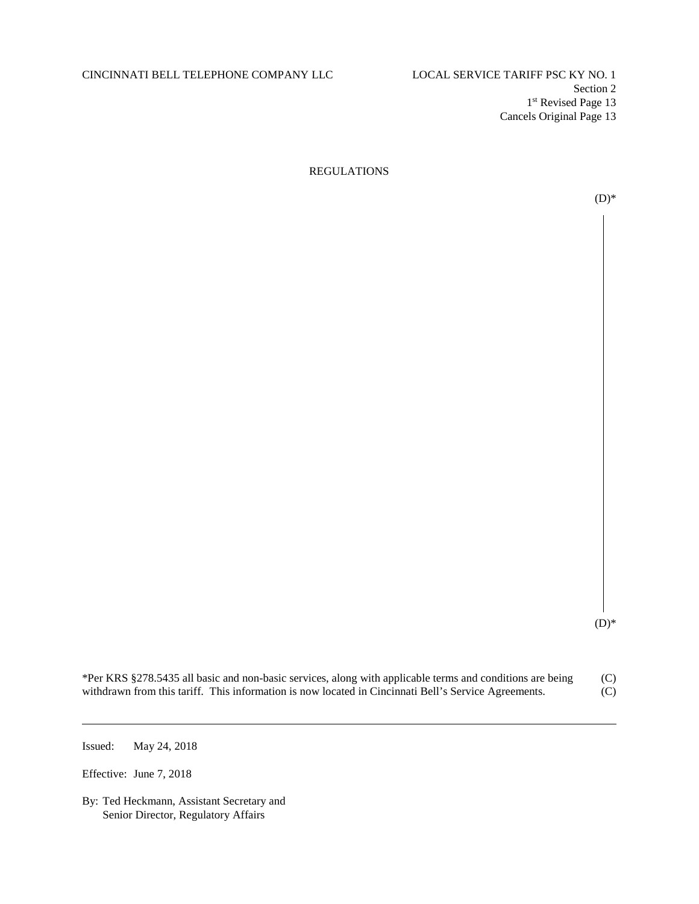# CINCINNATI BELL TELEPHONE COMPANY LLC LOCAL SERVICE TARIFF PSC KY NO. 1

# REGULATIONS



 $(D)*$ 

| *Per KRS §278.5435 all basic and non-basic services, along with applicable terms and conditions are being | (C) |
|-----------------------------------------------------------------------------------------------------------|-----|
| withdrawn from this tariff. This information is now located in Cincinnati Bell's Service Agreements.      | (C) |

Issued: May 24, 2018

Effective: June 7, 2018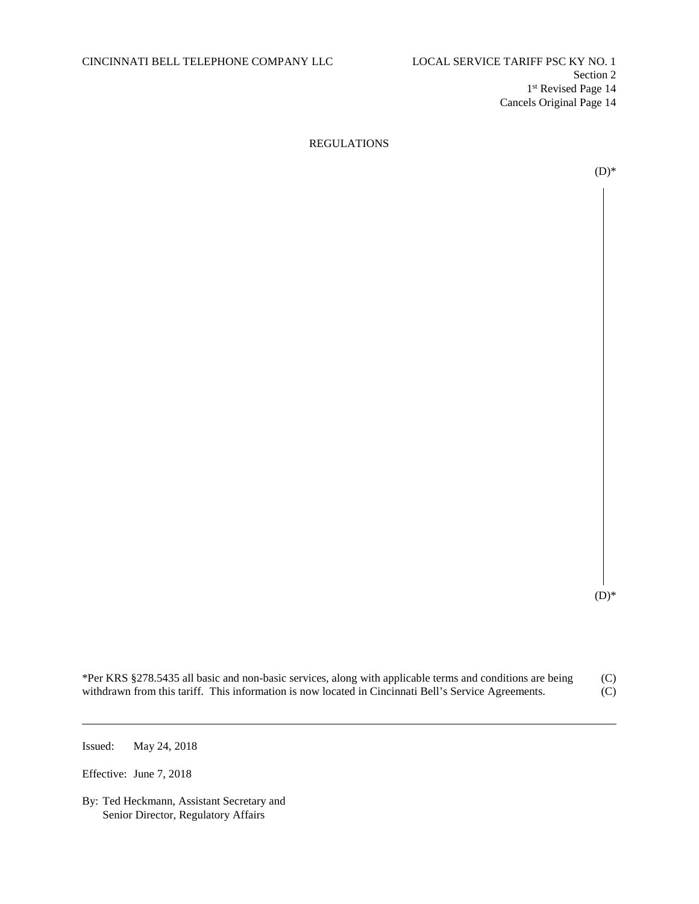$(D)$ \*

| *Per KRS §278.5435 all basic and non-basic services, along with applicable terms and conditions are being | (C) |
|-----------------------------------------------------------------------------------------------------------|-----|
| withdrawn from this tariff. This information is now located in Cincinnati Bell's Service Agreements.      | (C) |

Issued: May 24, 2018

Effective: June 7, 2018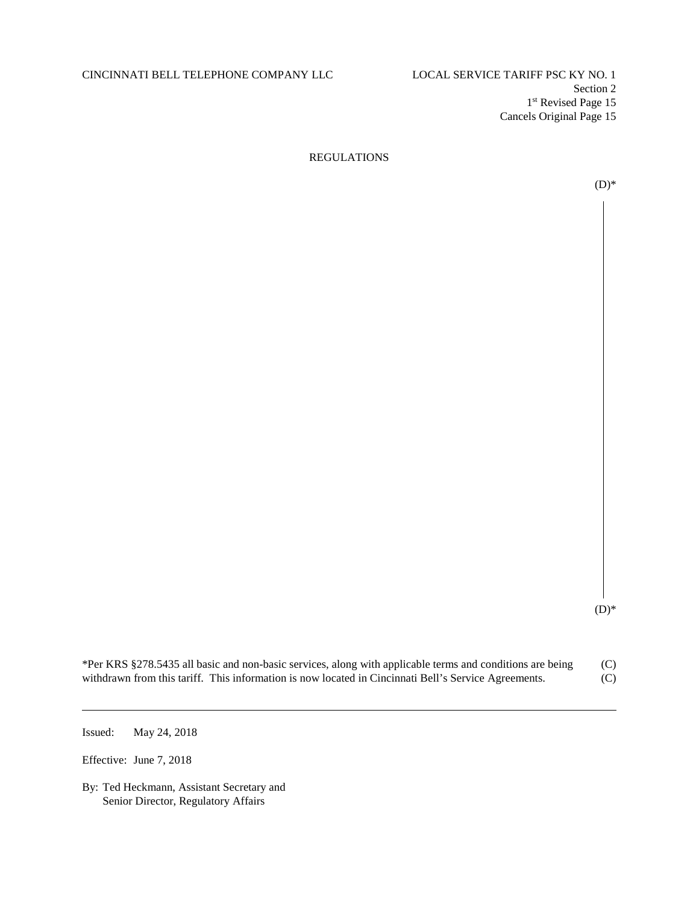# CINCINNATI BELL TELEPHONE COMPANY LLC LOCAL SERVICE TARIFF PSC KY NO. 1

Section 2 1st Revised Page 15 Cancels Original Page 15

## REGULATIONS

 $(D)*$ 

 $(D)*$ 

| *Per KRS §278.5435 all basic and non-basic services, along with applicable terms and conditions are being | (C) |
|-----------------------------------------------------------------------------------------------------------|-----|
| withdrawn from this tariff. This information is now located in Cincinnati Bell's Service Agreements.      | (C) |

Issued: May 24, 2018

Effective: June 7, 2018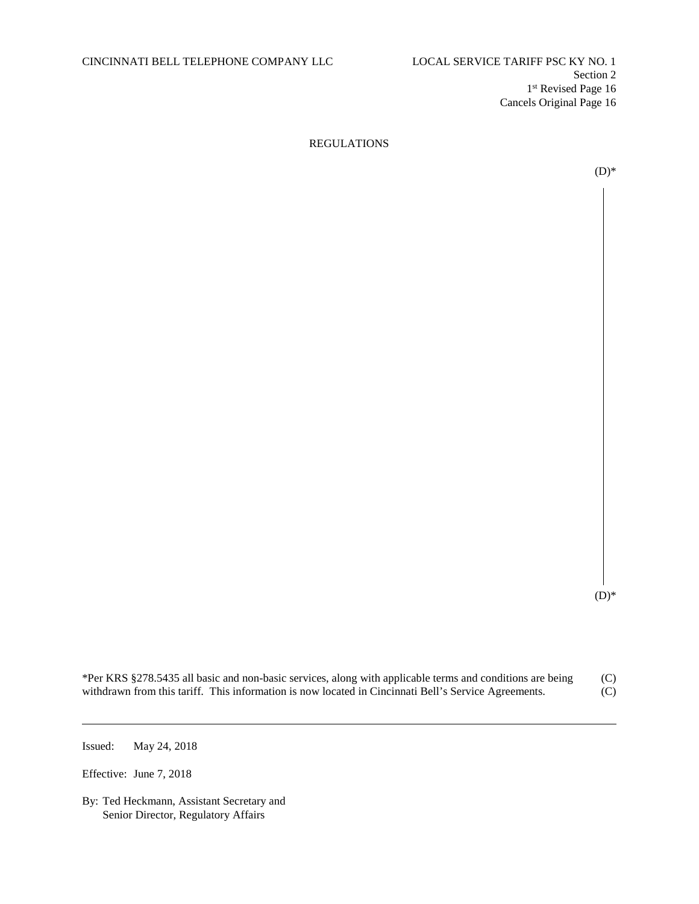$(D)$ \*

| *Per KRS §278.5435 all basic and non-basic services, along with applicable terms and conditions are being | (C) |
|-----------------------------------------------------------------------------------------------------------|-----|
| withdrawn from this tariff. This information is now located in Cincinnati Bell's Service Agreements.      | (C) |

Issued: May 24, 2018

Effective: June 7, 2018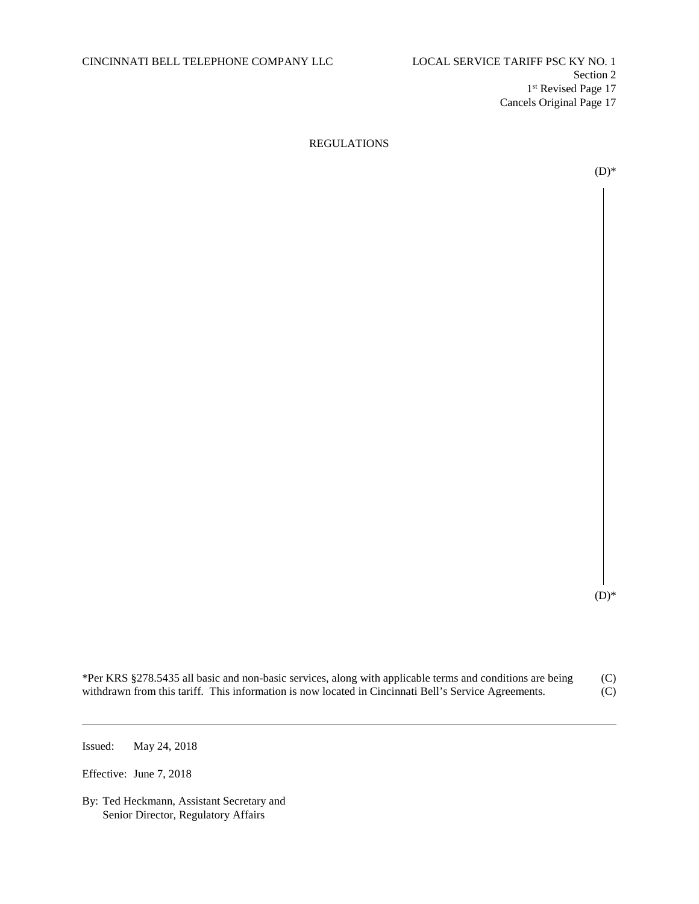$(D)$ \*

| *Per KRS §278.5435 all basic and non-basic services, along with applicable terms and conditions are being | (C) |
|-----------------------------------------------------------------------------------------------------------|-----|
| withdrawn from this tariff. This information is now located in Cincinnati Bell's Service Agreements.      | (C) |

Issued: May 24, 2018

Effective: June 7, 2018